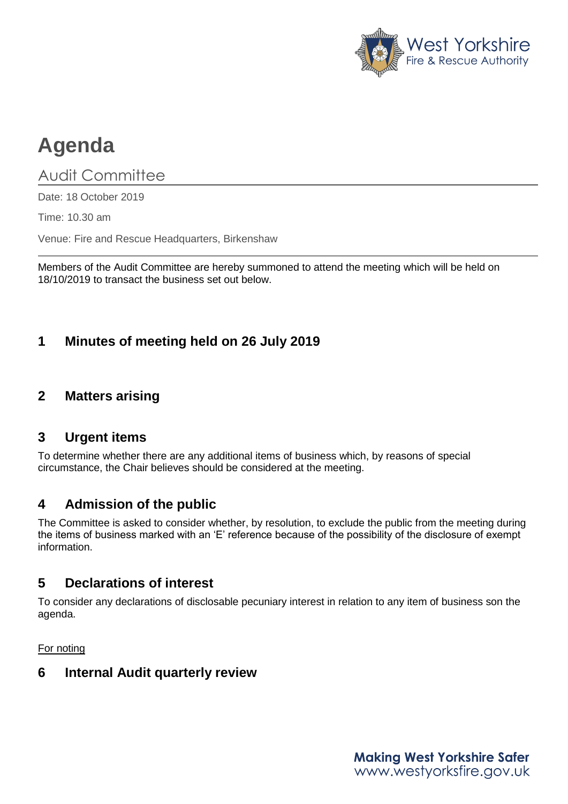

# **Agenda**

# Audit Committee

Date: 18 October 2019

Time: 10.30 am

Venue: Fire and Rescue Headquarters, Birkenshaw

Members of the Audit Committee are hereby summoned to attend the meeting which will be held on 18/10/2019 to transact the business set out below.

## **1 Minutes of meeting held on 26 July 2019**

## **2 Matters arising**

#### **3 Urgent items**

To determine whether there are any additional items of business which, by reasons of special circumstance, the Chair believes should be considered at the meeting.

### **4 Admission of the public**

The Committee is asked to consider whether, by resolution, to exclude the public from the meeting during the items of business marked with an 'E' reference because of the possibility of the disclosure of exempt information.

### **5 Declarations of interest**

To consider any declarations of disclosable pecuniary interest in relation to any item of business son the agenda.

For noting

#### **6 Internal Audit quarterly review**